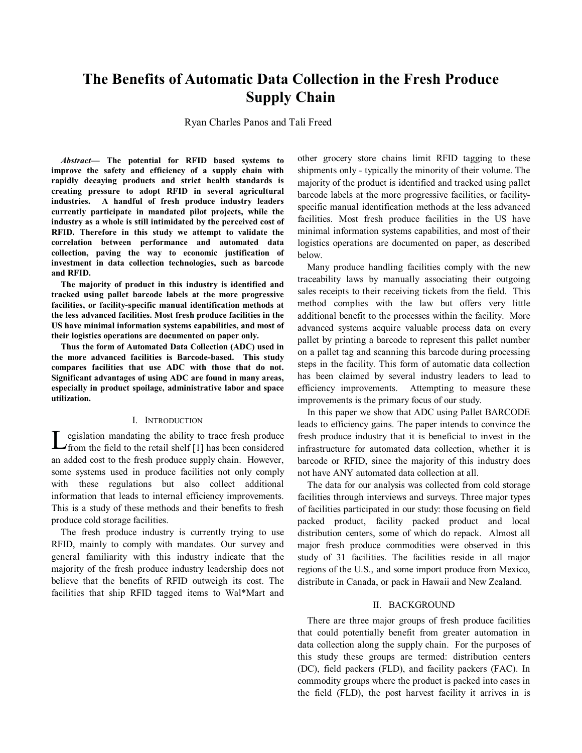# **The Benefits of Automatic Data Collection in the Fresh Produce Supply Chain**

Ryan Charles Panos and Tali Freed

*Abstract***- The potential for RFID based systems to improve the safety and efficiency of a supply chain with rapidly decaying products and strict health standards is creating pressure to adopt RFID in several agricultural industries. A handful of fresh produce industry leaders currently participate in mandated pilot projects, while the industry as a whole is still intimidated by the perceived cost of RFID. Therefore in this study we attempt to validate the correlation between performance and automated data collection, paving the way to economic justification of investment in data collection technologies, such as barcode and RFID.** 

**The majority of product in this industry is identified and tracked using pallet barcode labels at the more progressive facilities, or facility-specific manual identification methods at the less advanced facilities. Most fresh produce facilities in the US have minimal information systems capabilities, and most of their logistics operations are documented on paper only.** 

**Thus the form of Automated Data Collection (ADC) used in the more advanced facilities is Barcode-based. This study compares facilities that use ADC with those that do not. Significant advantages of using ADC are found in many areas, especially in product spoilage, administrative labor and space utilization.** 

#### I. INTRODUCTION

Legislation mandating the ability to trace fresh produce<br>from the field to the retail shelf [1] has been considered<br>an added cost to the fresh produce sumply chain. However an added cost to the fresh produce supply chain. However, some systems used in produce facilities not only comply with these regulations but also collect additional information that leads to internal efficiency improvements. This is a study of these methods and their benefits to fresh produce cold storage facilities.

The fresh produce industry is currently trying to use RFID, mainly to comply with mandates. Our survey and general familiarity with this industry indicate that the majority of the fresh produce industry leadership does not believe that the benefits of RFID outweigh its cost. The facilities that ship RFID tagged items to Wal\*Mart and

other grocery store chains limit RFID tagging to these shipments only - typically the minority of their volume. The majority of the product is identified and tracked using pallet barcode labels at the more progressive facilities, or facilityspecific manual identification methods at the less advanced facilities. Most fresh produce facilities in the US have minimal information systems capabilities, and most of their logistics operations are documented on paper, as described below.

Many produce handling facilities comply with the new traceability laws by manually associating their outgoing sales receipts to their receiving tickets from the field. This method complies with the law but offers very little additional benefit to the processes within the facility. More advanced systems acquire valuable process data on every pallet by printing a barcode to represent this pallet number on a pallet tag and scanning this barcode during processing steps in the facility. This form of automatic data collection has been claimed by several industry leaders to lead to efficiency improvements. Attempting to measure these improvements is the primary focus of our study.

In this paper we show that ADC using Pallet BARCODE leads to efficiency gains. The paper intends to convince the fresh produce industry that it is beneficial to invest in the infrastructure for automated data collection, whether it is barcode or RFID, since the majority of this industry does not have ANY automated data collection at all.

The data for our analysis was collected from cold storage facilities through interviews and surveys. Three major types of facilities participated in our study: those focusing on field packed product, facility packed product and local distribution centers, some of which do repack. Almost all major fresh produce commodities were observed in this study of 31 facilities. The facilities reside in all major regions of the U.S., and some import produce from Mexico, distribute in Canada, or pack in Hawaii and New Zealand.

## II. BACKGROUND

There are three major groups of fresh produce facilities that could potentially benefit from greater automation in data collection along the supply chain. For the purposes of this study these groups are termed: distribution centers (DC), field packers (FLD), and facility packers (FAC). In commodity groups where the product is packed into cases in the field (FLD), the post harvest facility it arrives in is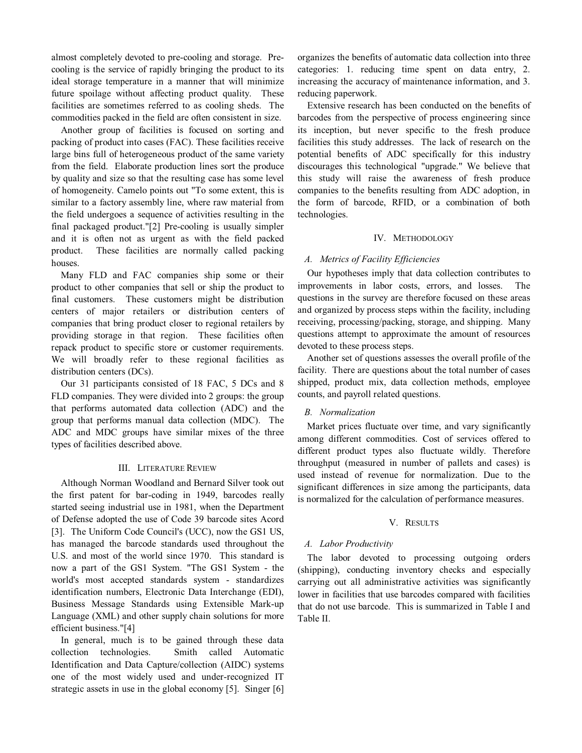almost completely devoted to pre-cooling and storage. Pre- cooling is the service of rapidly bringing the product to its ideal storage temperature in a manner that will minimize future spoilage without affecting product quality. These facilities are sometimes referred to as cooling sheds. The commodities packed in the field are often consistent in size.

 Another group of facilities is focused on sorting and packing of product into cases (FAC). These facilities receive large bins full of heterogeneous product of the same variety from the field. Elaborate production lines sort the produce by quality and size so that the resulting case has some level of homogeneity. Camelo points out "To some extent, this is similar to a factory assembly line, where raw material from the field undergoes a sequence of activities resulting in the final packaged product."[2] Pre-cooling is usually simpler and it is often not as urgent as with the field packed product. These facilities are normally called packing houses.

 Many FLD and FAC companies ship some or their product to other companies that sell or ship the product to final customers. These customers might be distribution centers of major retailers or distribution centers of companies that bring product closer to regional retailers by providing storage in that region. These facilities often repack product to specific store or customer requirements. We will broadly refer to these regional facilities as distribution centers (DCs).

 Our 31 participants consisted of 18 FAC, 5 DCs and 8 FLD companies. They were divided into 2 groups: the group that performs automated data collection (ADC) and the group that performs manual data collection (MDC). The ADC and MDC groups have similar mixes of the three types of facilities described above.

# III. LITERATURE REVIEW

 Although Norman Woodland and Bernard Silver took out the first patent for bar-coding in 1949, barcodes really started seeing industrial use in 1981, when the Department of Defense adopted the use of Code 39 barcode sites Acord [3]. The Uniform Code Council's (UCC), now the GS1 US, has managed the barcode standards used throughout the U.S. and most of the world since 1970. This standard is now a part of the GS1 System. "The GS1 System - the world's most accepted standards system - standardizes identification numbers, Electronic Data Interchange (EDI), Business Message Standards using Extensible Mark-up Language (XML) and other supply chain solutions for more efficient business."[4]

 In general, much is to be gained through these data Identification and Data Capture/collection (AIDC) systems one of the most widely used and under-recognized IT strategic assets in use in the global economy [5]. Singer [6] collection technologies. Smith called Automatic

 organizes the benefits of automatic data collection into three categories: 1. reducing time spent on data entry, 2. increasing the accuracy of maintenance information, and 3. reducing paperwork.

 Extensive research has been conducted on the benefits of barcodes from the perspective of process engineering since its inception, but never specific to the fresh produce facilities this study addresses. The lack of research on the potential benefits of ADC specifically for this industry discourages this technological "upgrade." We believe that this study will raise the awareness of fresh produce companies to the benefits resulting from ADC adoption, in the form of barcode, RFID, or a combination of both technologies.

## IV. METHODOLOGY

# *A. Metrics of Facility Efficiencies*

 Our hypotheses imply that data collection contributes to improvements in labor costs, errors, and losses. The questions in the survey are therefore focused on these areas and organized by process steps within the facility, including receiving, processing/packing, storage, and shipping. Many questions attempt to approximate the amount of resources devoted to these process steps.

 Another set of questions assesses the overall profile of the facility. There are questions about the total number of cases shipped, product mix, data collection methods, employee counts, and payroll related questions.

# *B. Normalization*

 Market prices fluctuate over time, and vary significantly among different commodities. Cost of services offered to different product types also fluctuate wildly. Therefore throughput (measured in number of pallets and cases) is used instead of revenue for normalization. Due to the significant differences in size among the participants, data is normalized for the calculation of performance measures.

# V. RESULTS

# *A. Labor Productivity*

The labor devoted to processing outgoing orders (shipping), conducting inventory checks and especially carrying out all administrative activities was significantly lower in facilities that use barcodes compared with facilities that do not use barcode. This is summarized in Table I and Table II.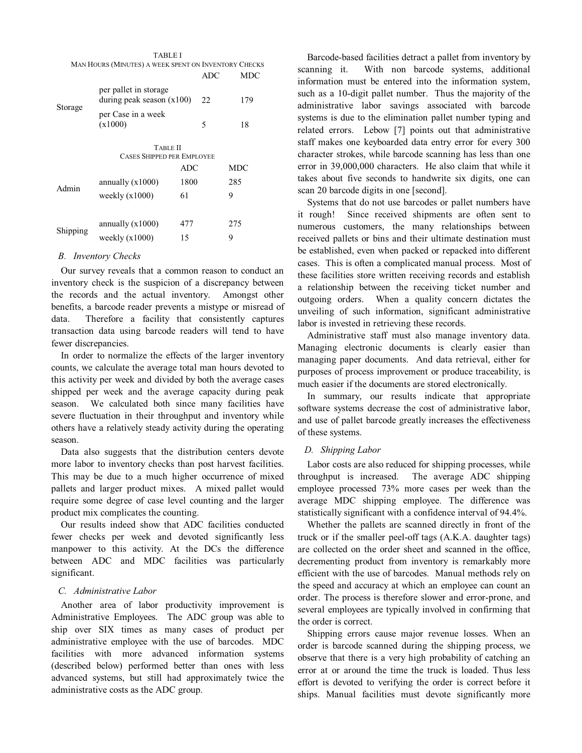|          | TABLE I                                              |            |            |     |
|----------|------------------------------------------------------|------------|------------|-----|
|          | MAN HOURS (MINUTES) A WEEK SPENT ON INVENTORY CHECKS |            |            |     |
|          |                                                      |            | <b>ADC</b> | MDC |
| Storage  | per pallet in storage<br>during peak season $(x100)$ |            | 22         | 179 |
|          | per Case in a week                                   |            |            |     |
|          | (x1000)                                              |            | 5          | 18  |
|          |                                                      |            |            |     |
|          | <b>TABLE II</b>                                      |            |            |     |
|          | <b>CASES SHIPPED PER EMPLOYEE</b>                    |            |            |     |
|          |                                                      | <b>ADC</b> |            | MDC |
| Admin    | annually $(x1000)$                                   | 1800       |            | 285 |
|          | weekly $(x1000)$                                     | 61         |            | 9   |
|          |                                                      |            |            |     |
| Shipping | annually $(x1000)$                                   | 477        |            | 275 |
|          | weekly $(x1000)$                                     | 15         |            | 9   |
|          |                                                      |            |            |     |

# *B. Inventory Checks*

 Our survey reveals that a common reason to conduct an inventory check is the suspicion of a discrepancy between the records and the actual inventory. Amongst other benefits, a barcode reader prevents a mistype or misread of transaction data using barcode readers will tend to have fewer discrepancies. data. Therefore a facility that consistently captures

 In order to normalize the effects of the larger inventory counts, we calculate the average total man hours devoted to this activity per week and divided by both the average cases shipped per week and the average capacity during peak season. We calculated both since many facilities have severe fluctuation in their throughput and inventory while others have a relatively steady activity during the operating season.

 Data also suggests that the distribution centers devote more labor to inventory checks than post harvest facilities. This may be due to a much higher occurrence of mixed pallets and larger product mixes. A mixed pallet would require some degree of case level counting and the larger product mix complicates the counting.

 Our results indeed show that ADC facilities conducted fewer checks per week and devoted significantly less manpower to this activity. At the DCs the difference between ADC and MDC facilities was particularly significant.

# *C. Administrative Labor*

 Another area of labor productivity improvement is Administrative Employees. The ADC group was able to ship over SIX times as many cases of product per administrative employee with the use of barcodes. MDC facilities with more advanced information systems (described below) performed better than ones with less advanced systems, but still had approximately twice the administrative costs as the ADC group.

 Barcode-based facilities detract a pallet from inventory by scanning it. information must be entered into the information system, such as a 10-digit pallet number. Thus the majority of the administrative labor savings associated with barcode systems is due to the elimination pallet number typing and related errors. Lebow [7] points out that administrative staff makes one keyboarded data entry error for every 300 character strokes, while barcode scanning has less than one error in 39,000,000 characters. He also claim that while it takes about five seconds to handwrite six digits, one can scan 20 barcode digits in one [second]. With non barcode systems, additional

 Systems that do not use barcodes or pallet numbers have it rough! numerous customers, the many relationships between received pallets or bins and their ultimate destination must be established, even when packed or repacked into different cases. This is often a complicated manual process. Most of these facilities store written receiving records and establish a relationship between the receiving ticket number and outgoing orders. When a quality concern dictates the unveiling of such information, significant administrative labor is invested in retrieving these records. Since received shipments are often sent to

 Administrative staff must also manage inventory data. Managing electronic documents is clearly easier than managing paper documents. And data retrieval, either for purposes of process improvement or produce traceability, is much easier if the documents are stored electronically.

 In summary, our results indicate that appropriate software systems decrease the cost of administrative labor, and use of pallet barcode greatly increases the effectiveness of these systems.

# *D. Shipping Labor*

 Labor costs are also reduced for shipping processes, while throughput is increased. employee processed 73% more cases per week than the average MDC shipping employee. The difference was The average ADC shipping statistically significant with a confidence interval of 94.4%.

 Whether the pallets are scanned directly in front of the truck or if the smaller peel-off tags (A.K.A. daughter tags) are collected on the order sheet and scanned in the office, decrementing product from inventory is remarkably more efficient with the use of barcodes. Manual methods rely on the speed and accuracy at which an employee can count an order. The process is therefore slower and error-prone, and several employees are typically involved in confirming that the order is correct.

 Shipping errors cause major revenue losses. When an order is barcode scanned during the shipping process, we observe that there is a very high probability of catching an error at or around the time the truck is loaded. Thus less effort is devoted to verifying the order is correct before it ships. Manual facilities must devote significantly more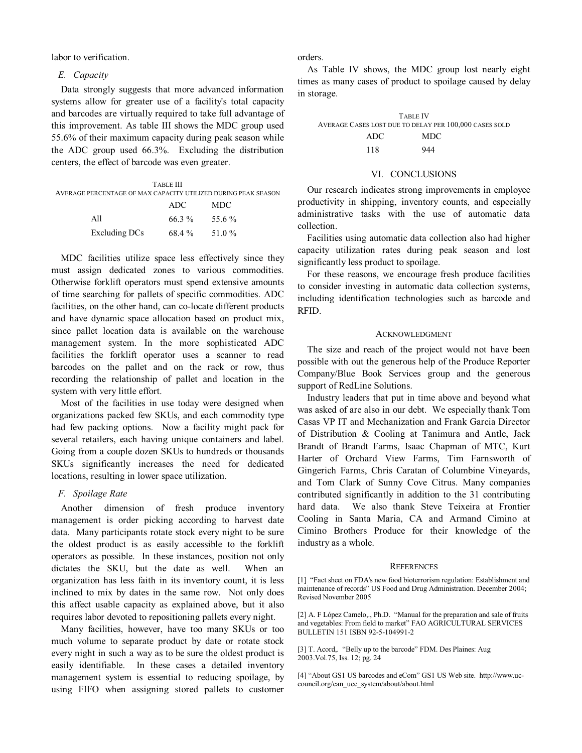labor to verification.

## *E. Capacity*

 Data strongly suggests that more advanced information systems allow for greater use of a facility's total capacity and barcodes are virtually required to take full advantage of this improvement. As table III shows the MDC group used 55.6% of their maximum capacity during peak season while the ADC group used 66.3%. Excluding the distribution centers, the effect of barcode was even greater.

| TARLE III<br>AVERAGE PERCENTAGE OF MAX CAPACITY UTILIZED DURING PEAK SEASON |                   |      |  |  |  |
|-----------------------------------------------------------------------------|-------------------|------|--|--|--|
|                                                                             | ADC.              | MDC. |  |  |  |
| A11                                                                         | $66.3\%$ 55.6%    |      |  |  |  |
| Excluding DCs                                                               | $68.4\%$ $51.0\%$ |      |  |  |  |

 MDC facilities utilize space less effectively since they must assign dedicated zones to various commodities. Otherwise forklift operators must spend extensive amounts of time searching for pallets of specific commodities. ADC facilities, on the other hand, can co-locate different products and have dynamic space allocation based on product mix, since pallet location data is available on the warehouse management system. In the more sophisticated ADC facilities the forklift operator uses a scanner to read barcodes on the pallet and on the rack or row, thus recording the relationship of pallet and location in the system with very little effort.

 Most of the facilities in use today were designed when organizations packed few SKUs, and each commodity type had few packing options. Now a facility might pack for several retailers, each having unique containers and label. Going from a couple dozen SKUs to hundreds or thousands SKUs significantly increases the need for dedicated locations, resulting in lower space utilization.

# *F. Spoilage Rate*

 Another dimension of fresh produce inventory management is order picking according to harvest date data. Many participants rotate stock every night to be sure the oldest product is as easily accessible to the forklift operators as possible. In these instances, position not only dictates the SKU, but the date as well. When an organization has less faith in its inventory count, it is less inclined to mix by dates in the same row. Not only does this affect usable capacity as explained above, but it also requires labor devoted to repositioning pallets every night.

 Many facilities, however, have too many SKUs or too much volume to separate product by date or rotate stock every night in such a way as to be sure the oldest product is easily identifiable. In these cases a detailed inventory management system is essential to reducing spoilage, by using FIFO when assigning stored pallets to customer

orders.

 As Table IV shows, the MDC group lost nearly eight times as many cases of product to spoilage caused by delay in storage.

| <b>TABLE IV</b>                                        |      |  |  |  |
|--------------------------------------------------------|------|--|--|--|
| AVERAGE CASES LOST DUE TO DELAY PER 100,000 CASES SOLD |      |  |  |  |
| ADC.                                                   | MDC. |  |  |  |
| 118                                                    | 944  |  |  |  |

# VI. CONCLUSIONS

 Our research indicates strong improvements in employee productivity in shipping, inventory counts, and especially administrative tasks with the use of automatic data collection.

 Facilities using automatic data collection also had higher capacity utilization rates during peak season and lost significantly less product to spoilage.

 For these reasons, we encourage fresh produce facilities to consider investing in automatic data collection systems, including identification technologies such as barcode and RFID.

## ACKNOWLEDGMENT

 The size and reach of the project would not have been possible with out the generous help of the Produce Reporter Company/Blue Book Services group and the generous support of RedLine Solutions.

 Industry leaders that put in time above and beyond what was asked of are also in our debt. We especially thank Tom Casas VP IT and Mechanization and Frank Garcia Director of Distribution & Cooling at Tanimura and Antle, Jack Brandt of Brandt Farms, Isaac Chapman of MTC, Kurt Harter of Orchard View Farms, Tim Farnsworth of Gingerich Farms, Chris Caratan of Columbine Vineyards, and Tom Clark of Sunny Cove Citrus. Many companies contributed significantly in addition to the 31 contributing hard data. Cooling in Santa Maria, CA and Armand Cimino at Cimino Brothers Produce for their knowledge of the We also thank Steve Teixeira at Frontier industry as a whole.

#### **REFERENCES**

 [1] "Fact sheet on FDA's new food bioterrorism regulation: Establishment and maintenance of records" US Food and Drug Administration. December 2004; Revised November 2005

 [2] A. F Lopez Camelo,., Ph.D. "Manual for the preparation and sale of fruits and vegetables: From field to market" FAO AGRICULTURAL SERVICES BULLETIN 151 ISBN 92-5-104991-2

 [3] T. Acord,. "Belly up to the barcode" FDM. Des Plaines: Aug 2003.Vol.75, Iss. 12; pg. 24

 [4] "About GS1 US barcodes and eCom" GS1 US Web site. http://www.uccouncil.org/ean ucc system/about/about.html